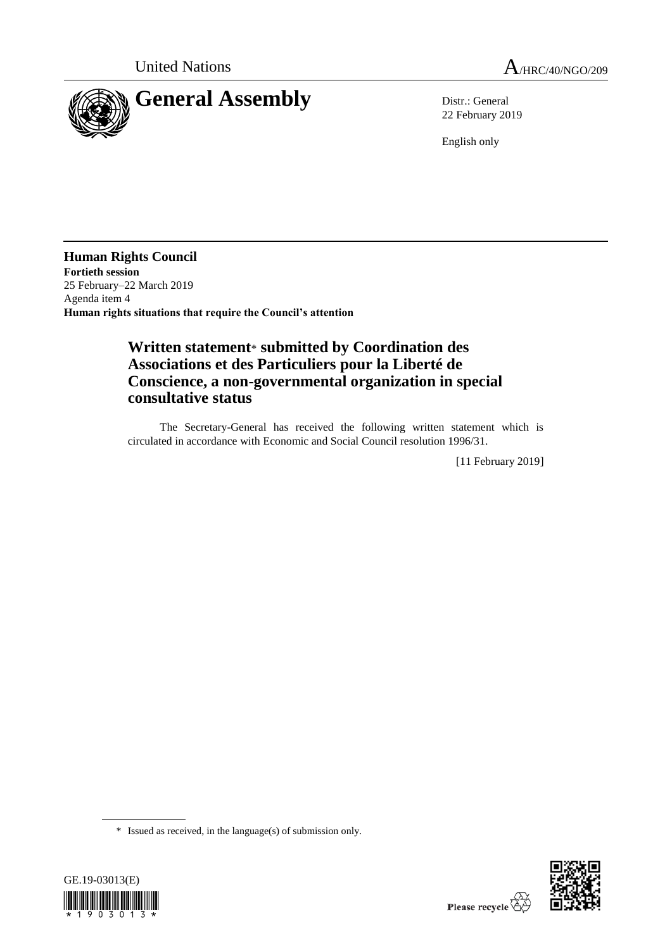

22 February 2019

English only

**Human Rights Council Fortieth session** 25 February–22 March 2019 Agenda item 4 **Human rights situations that require the Council's attention**

## **Written statement**\* **submitted by Coordination des Associations et des Particuliers pour la Liberté de Conscience, a non-governmental organization in special consultative status**

The Secretary-General has received the following written statement which is circulated in accordance with Economic and Social Council resolution 1996/31.

[11 February 2019]

<sup>\*</sup> Issued as received, in the language(s) of submission only.



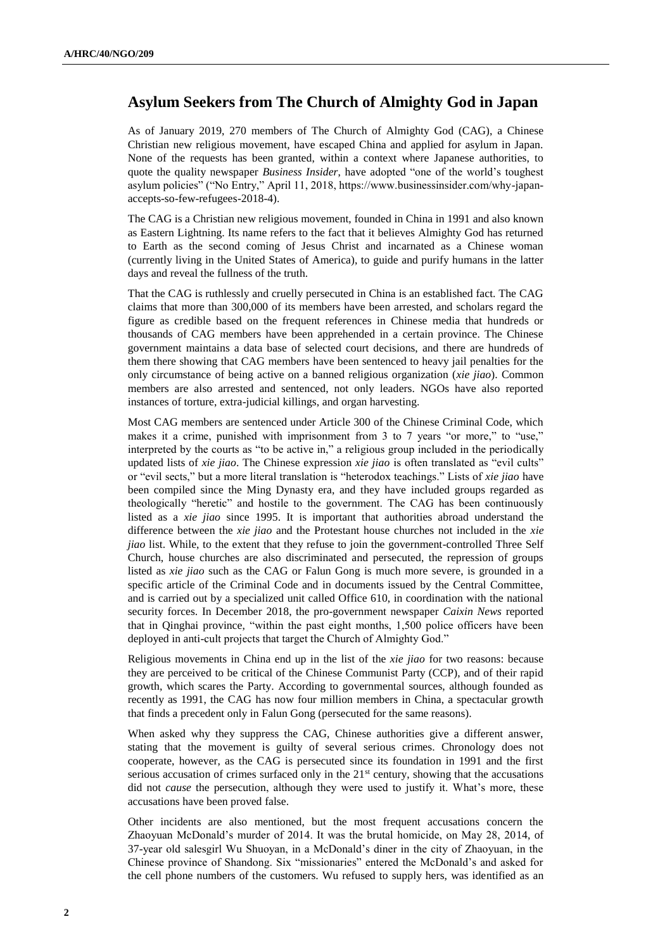## **Asylum Seekers from The Church of Almighty God in Japan**

As of January 2019, 270 members of The Church of Almighty God (CAG), a Chinese Christian new religious movement, have escaped China and applied for asylum in Japan. None of the requests has been granted, within a context where Japanese authorities, to quote the quality newspaper *Business Insider*, have adopted "one of the world's toughest asylum policies" ("No Entry," April 11, 2018, https://www.businessinsider.com/why-japanaccepts-so-few-refugees-2018-4).

The CAG is a Christian new religious movement, founded in China in 1991 and also known as Eastern Lightning. Its name refers to the fact that it believes Almighty God has returned to Earth as the second coming of Jesus Christ and incarnated as a Chinese woman (currently living in the United States of America), to guide and purify humans in the latter days and reveal the fullness of the truth.

That the CAG is ruthlessly and cruelly persecuted in China is an established fact. The CAG claims that more than 300,000 of its members have been arrested, and scholars regard the figure as credible based on the frequent references in Chinese media that hundreds or thousands of CAG members have been apprehended in a certain province. The Chinese government maintains a data base of selected court decisions, and there are hundreds of them there showing that CAG members have been sentenced to heavy jail penalties for the only circumstance of being active on a banned religious organization (*xie jiao*). Common members are also arrested and sentenced, not only leaders. NGOs have also reported instances of torture, extra-judicial killings, and organ harvesting.

Most CAG members are sentenced under Article 300 of the Chinese Criminal Code, which makes it a crime, punished with imprisonment from 3 to 7 years "or more," to "use," interpreted by the courts as "to be active in," a religious group included in the periodically updated lists of *xie jiao*. The Chinese expression *xie jiao* is often translated as "evil cults" or "evil sects," but a more literal translation is "heterodox teachings." Lists of *xie jiao* have been compiled since the Ming Dynasty era, and they have included groups regarded as theologically "heretic" and hostile to the government. The CAG has been continuously listed as a *xie jiao* since 1995. It is important that authorities abroad understand the difference between the *xie jiao* and the Protestant house churches not included in the *xie jiao* list. While, to the extent that they refuse to join the government-controlled Three Self Church, house churches are also discriminated and persecuted, the repression of groups listed as *xie jiao* such as the CAG or Falun Gong is much more severe, is grounded in a specific article of the Criminal Code and in documents issued by the Central Committee, and is carried out by a specialized unit called Office 610, in coordination with the national security forces. In December 2018, the pro-government newspaper *Caixin News* reported that in Qinghai province, "within the past eight months, 1,500 police officers have been deployed in anti-cult projects that target the Church of Almighty God."

Religious movements in China end up in the list of the *xie jiao* for two reasons: because they are perceived to be critical of the Chinese Communist Party (CCP), and of their rapid growth, which scares the Party. According to governmental sources, although founded as recently as 1991, the CAG has now four million members in China, a spectacular growth that finds a precedent only in Falun Gong (persecuted for the same reasons).

When asked why they suppress the CAG, Chinese authorities give a different answer, stating that the movement is guilty of several serious crimes. Chronology does not cooperate, however, as the CAG is persecuted since its foundation in 1991 and the first serious accusation of crimes surfaced only in the  $21<sup>st</sup>$  century, showing that the accusations did not *cause* the persecution, although they were used to justify it. What's more, these accusations have been proved false.

Other incidents are also mentioned, but the most frequent accusations concern the Zhaoyuan McDonald's murder of 2014. It was the brutal homicide, on May 28, 2014, of 37-year old salesgirl Wu Shuoyan, in a McDonald's diner in the city of Zhaoyuan, in the Chinese province of Shandong. Six "missionaries" entered the McDonald's and asked for the cell phone numbers of the customers. Wu refused to supply hers, was identified as an